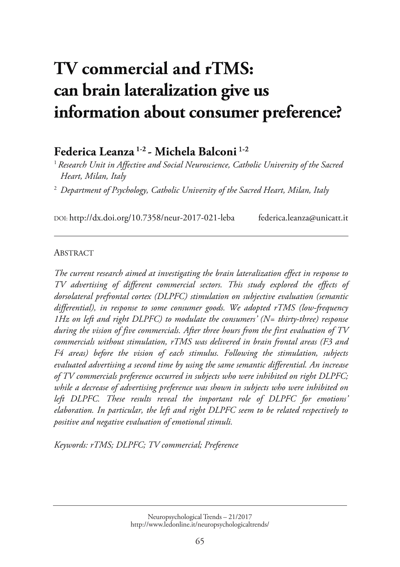# **TV commercial and rTMS: can brain lateralization give us [information about consumer preference?](http://www.ledonline.it/NeuropsychologicalTrends/21-2017.html)**

# **Federica Leanza 1-2 - Michela Balconi** 1-2

<sup>1</sup> Research Unit in Affective and Social Neuroscience, Catholic University of the Sacred *Heart, Milan, Italy* 

<sup>2</sup> Department of Psychology, Catholic University of the Sacred Heart, Milan, Italy

DOI: http://dx.doi.org/10.7358/neur-2017-021-leba federica.leanza@unicatt.it

#### **ABSTRACT**

*The current research aimed at investigating the brain lateralization effect in response to TV advertising of different commercial sectors. This study explored the effects of dorsolateral prefrontal cortex (DLPFC) stimulation on subjective evaluation (semantic differential), in response to some consumer goods. We adopted rTMS (low-frequency 1Hz on left and right DLPFC) to modulate the consumers' (N= thirty-three) response during the vision of five commercials. After three hours from the first evaluation of TV commercials without stimulation, rTMS was delivered in brain frontal areas (F3 and F4 areas) before the vision of each stimulus. Following the stimulation, subjects evaluated advertising a second time by using the same semantic differential. An increase of TV commercials preference occurred in subjects who were inhibited on right DLPFC; while a decrease of advertising preference was shown in subjects who were inhibited on left DLPFC. These results reveal the important role of DLPFC for emotions' elaboration. In particular, the left and right DLPFC seem to be related respectively to positive and negative evaluation of emotional stimuli.* 

*Keywords: rTMS; DLPFC; TV commercial; Preference*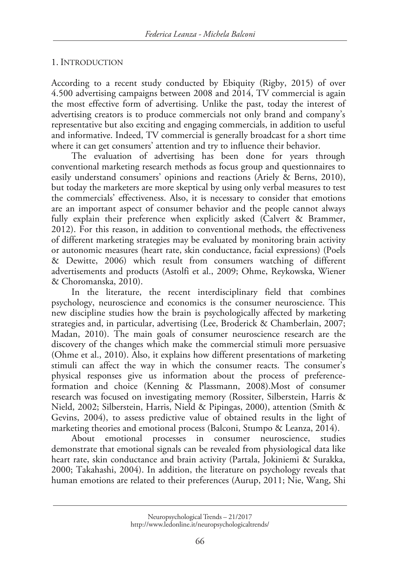#### 1. INTRODUCTION

According to a recent study conducted by Ebiquity (Rigby, 2015) of over 4.500 advertising campaigns between 2008 and 2014, TV commercial is again the most effective form of advertising. Unlike the past, today the interest of advertising creators is to produce commercials not only brand and company's representative but also exciting and engaging commercials, in addition to useful and informative. Indeed, TV commercial is generally broadcast for a short time where it can get consumers' attention and try to influence their behavior.

The evaluation of advertising has been done for years through conventional marketing research methods as focus group and questionnaires to easily understand consumers' opinions and reactions (Ariely & Berns, 2010), but today the marketers are more skeptical by using only verbal measures to test the commercials' effectiveness. Also, it is necessary to consider that emotions are an important aspect of consumer behavior and the people cannot always fully explain their preference when explicitly asked (Calvert & Brammer, 2012). For this reason, in addition to conventional methods, the effectiveness of different marketing strategies may be evaluated by monitoring brain activity or autonomic measures (heart rate, skin conductance, facial expressions) (Poels & Dewitte, 2006) which result from consumers watching of different advertisements and products (Astolfi et al., 2009; Ohme, Reykowska, Wiener & Choromanska, 2010).

In the literature, the recent interdisciplinary field that combines psychology, neuroscience and economics is the consumer neuroscience. This new discipline studies how the brain is psychologically affected by marketing strategies and, in particular, advertising (Lee, Broderick & Chamberlain, 2007; Madan, 2010). The main goals of consumer neuroscience research are the discovery of the changes which make the commercial stimuli more persuasive (Ohme et al., 2010). Also, it explains how different presentations of marketing stimuli can affect the way in which the consumer reacts. The consumer's physical responses give us information about the process of preferenceformation and choice (Kenning & Plassmann, 2008).Most of consumer research was focused on investigating memory (Rossiter, Silberstein, Harris & Nield, 2002; Silberstein, Harris, Nield & Pipingas, 2000), attention (Smith & Gevins, 2004), to assess predictive value of obtained results in the light of marketing theories and emotional process (Balconi, Stumpo & Leanza, 2014).

About emotional processes in consumer neuroscience, studies demonstrate that emotional signals can be revealed from physiological data like heart rate, skin conductance and brain activity (Partala, Jokiniemi & Surakka, 2000; Takahashi, 2004). In addition, the literature on psychology reveals that human emotions are related to their preferences (Aurup, 2011; Nie, Wang, Shi

Neuropsychological Trends – 21/2017 http://www.ledonline.it/neuropsychologicaltrends/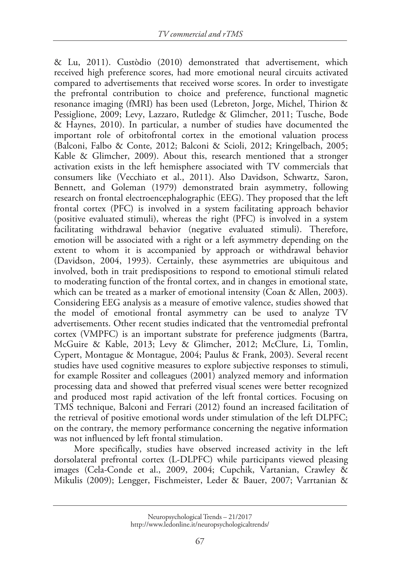& Lu, 2011). Custòdio (2010) demonstrated that advertisement, which received high preference scores, had more emotional neural circuits activated compared to advertisements that received worse scores. In order to investigate the prefrontal contribution to choice and preference, functional magnetic resonance imaging (fMRI) has been used (Lebreton, Jorge, Michel, Thirion & Pessiglione, 2009; Levy, Lazzaro, Rutledge & Glimcher, 2011; Tusche, Bode & Haynes, 2010). In particular, a number of studies have documented the important role of orbitofrontal cortex in the emotional valuation process (Balconi, Falbo & Conte, 2012; Balconi & Scioli, 2012; Kringelbach, 2005; Kable & Glimcher, 2009). About this, research mentioned that a stronger activation exists in the left hemisphere associated with TV commercials that consumers like (Vecchiato et al., 2011). Also Davidson, Schwartz, Saron, Bennett, and Goleman (1979) demonstrated brain asymmetry, following research on frontal electroencephalographic (EEG). They proposed that the left frontal cortex (PFC) is involved in a system facilitating approach behavior (positive evaluated stimuli), whereas the right (PFC) is involved in a system facilitating withdrawal behavior (negative evaluated stimuli). Therefore, emotion will be associated with a right or a left asymmetry depending on the extent to whom it is accompanied by approach or withdrawal behavior (Davidson, 2004, 1993). Certainly, these asymmetries are ubiquitous and involved, both in trait predispositions to respond to emotional stimuli related to moderating function of the frontal cortex, and in changes in emotional state, which can be treated as a marker of emotional intensity (Coan & Allen, 2003). Considering EEG analysis as a measure of emotive valence, studies showed that the model of emotional frontal asymmetry can be used to analyze TV advertisements. Other recent studies indicated that the ventromedial prefrontal cortex (VMPFC) is an important substrate for preference judgments (Bartra, McGuire & Kable, 2013; Levy & Glimcher, 2012; McClure, Li, Tomlin, Cypert, Montague & Montague, 2004; Paulus & Frank, 2003). Several recent studies have used cognitive measures to explore subjective responses to stimuli, for example Rossiter and colleagues (2001) analyzed memory and information processing data and showed that preferred visual scenes were better recognized and produced most rapid activation of the left frontal cortices. Focusing on TMS technique, Balconi and Ferrari (2012) found an increased facilitation of the retrieval of positive emotional words under stimulation of the left DLPFC; on the contrary, the memory performance concerning the negative information was not influenced by left frontal stimulation.

More specifically, studies have observed increased activity in the left dorsolateral prefrontal cortex (L-DLPFC) while participants viewed pleasing images (Cela-Conde et al., 2009, 2004; Cupchik, Vartanian, Crawley & Mikulis (2009); Lengger, Fischmeister, Leder & Bauer, 2007; Varrtanian &

Neuropsychological Trends – 21/2017 http://www.ledonline.it/neuropsychologicaltrends/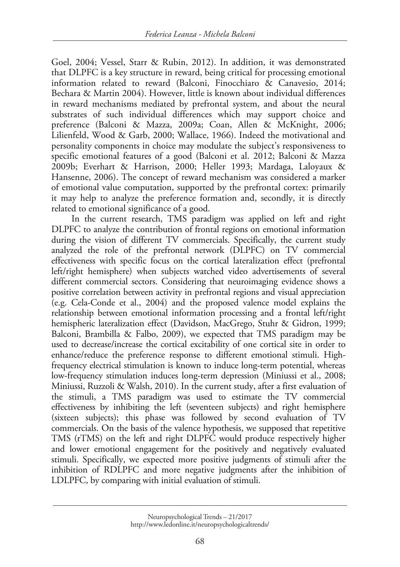Goel, 2004; Vessel, Starr & Rubin, 2012). In addition, it was demonstrated that DLPFC is a key structure in reward, being critical for processing emotional information related to reward (Balconi, Finocchiaro & Canavesio, 2014; Bechara & Martin 2004). However, little is known about individual differences in reward mechanisms mediated by prefrontal system, and about the neural substrates of such individual differences which may support choice and preference (Balconi & Mazza, 2009a; Coan, Allen & McKnight, 2006; Lilienfeld, Wood & Garb, 2000; Wallace, 1966). Indeed the motivational and personality components in choice may modulate the subject's responsiveness to specific emotional features of a good (Balconi et al. 2012; Balconi & Mazza 2009b; Everhart & Harrison, 2000; Heller 1993; Mardaga, Laloyaux & Hansenne, 2006). The concept of reward mechanism was considered a marker of emotional value computation, supported by the prefrontal cortex: primarily it may help to analyze the preference formation and, secondly, it is directly related to emotional significance of a good.

In the current research, TMS paradigm was applied on left and right DLPFC to analyze the contribution of frontal regions on emotional information during the vision of different TV commercials. Specifically, the current study analyzed the role of the prefrontal network (DLPFC) on TV commercial effectiveness with specific focus on the cortical lateralization effect (prefrontal left/right hemisphere) when subjects watched video advertisements of several different commercial sectors. Considering that neuroimaging evidence shows a positive correlation between activity in prefrontal regions and visual appreciation (e.g. Cela-Conde et al., 2004) and the proposed valence model explains the relationship between emotional information processing and a frontal left/right hemispheric lateralization effect (Davidson, MacGrego, Stuhr & Gidron, 1999; Balconi, Brambilla & Falbo, 2009), we expected that TMS paradigm may be used to decrease/increase the cortical excitability of one cortical site in order to enhance/reduce the preference response to different emotional stimuli. Highfrequency electrical stimulation is known to induce long-term potential, whereas low-frequency stimulation induces long-term depression (Miniussi et al., 2008; Miniussi, Ruzzoli & Walsh, 2010). In the current study, after a first evaluation of the stimuli, a TMS paradigm was used to estimate the TV commercial effectiveness by inhibiting the left (seventeen subjects) and right hemisphere (sixteen subjects); this phase was followed by second evaluation of TV commercials. On the basis of the valence hypothesis, we supposed that repetitive TMS (rTMS) on the left and right DLPFC would produce respectively higher and lower emotional engagement for the positively and negatively evaluated stimuli. Specifically, we expected more positive judgments of stimuli after the inhibition of RDLPFC and more negative judgments after the inhibition of LDLPFC, by comparing with initial evaluation of stimuli.

Neuropsychological Trends – 21/2017 http://www.ledonline.it/neuropsychologicaltrends/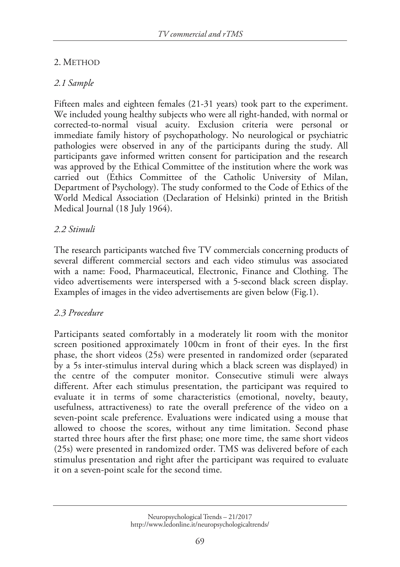# 2. METHOD

# *2.1 Sample*

Fifteen males and eighteen females (21-31 years) took part to the experiment. We included young healthy subjects who were all right-handed, with normal or corrected-to-normal visual acuity. Exclusion criteria were personal or immediate family history of psychopathology. No neurological or psychiatric pathologies were observed in any of the participants during the study. All participants gave informed written consent for participation and the research was approved by the Ethical Committee of the institution where the work was carried out (Ethics Committee of the Catholic University of Milan, Department of Psychology). The study conformed to the Code of Ethics of the World Medical Association (Declaration of Helsinki) printed in the British Medical Journal (18 July 1964).

# *2.2 Stimuli*

The research participants watched five TV commercials concerning products of several different commercial sectors and each video stimulus was associated with a name: Food, Pharmaceutical, Electronic, Finance and Clothing. The video advertisements were interspersed with a 5-second black screen display. Examples of images in the video advertisements are given below (Fig.1).

#### *2.3 Procedure*

Participants seated comfortably in a moderately lit room with the monitor screen positioned approximately 100cm in front of their eyes. In the first phase, the short videos (25s) were presented in randomized order (separated by a 5s inter-stimulus interval during which a black screen was displayed) in the centre of the computer monitor. Consecutive stimuli were always different. After each stimulus presentation, the participant was required to evaluate it in terms of some characteristics (emotional, novelty, beauty, usefulness, attractiveness) to rate the overall preference of the video on a seven-point scale preference. Evaluations were indicated using a mouse that allowed to choose the scores, without any time limitation. Second phase started three hours after the first phase; one more time, the same short videos (25s) were presented in randomized order. TMS was delivered before of each stimulus presentation and right after the participant was required to evaluate it on a seven-point scale for the second time.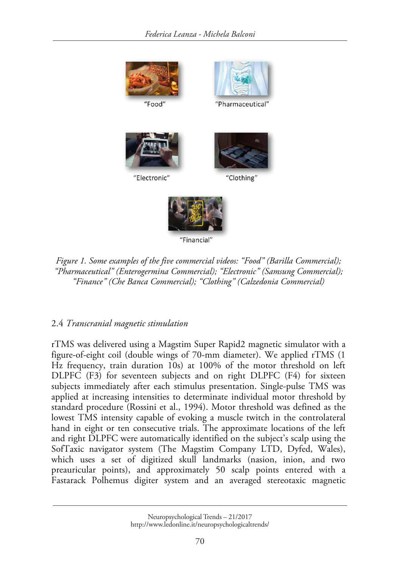

*Figure 1. Some examples of the five commercial videos: "Food" (Barilla Commercial); "Pharmaceutical" (Enterogermina Commercial); "Electronic" (Samsung Commercial); "Finance" (Che Banca Commercial); "Clothing" (Calzedonia Commercial)* 

# 2.4 *Transcranial magnetic stimulation*

rTMS was delivered using a Magstim Super Rapid2 magnetic simulator with a figure-of-eight coil (double wings of 70-mm diameter). We applied rTMS (1 Hz frequency, train duration 10s) at 100% of the motor threshold on left DLPFC (F3) for seventeen subjects and on right DLPFC (F4) for sixteen subjects immediately after each stimulus presentation. Single-pulse TMS was applied at increasing intensities to determinate individual motor threshold by standard procedure (Rossini et al., 1994). Motor threshold was defined as the lowest TMS intensity capable of evoking a muscle twitch in the controlateral hand in eight or ten consecutive trials. The approximate locations of the left and right DLPFC were automatically identified on the subject's scalp using the SofTaxic navigator system (The Magstim Company LTD, Dyfed, Wales), which uses a set of digitized skull landmarks (nasion, inion, and two preauricular points), and approximately 50 scalp points entered with a Fastarack Polhemus digiter system and an averaged stereotaxic magnetic

Neuropsychological Trends – 21/2017 http://www.ledonline.it/neuropsychologicaltrends/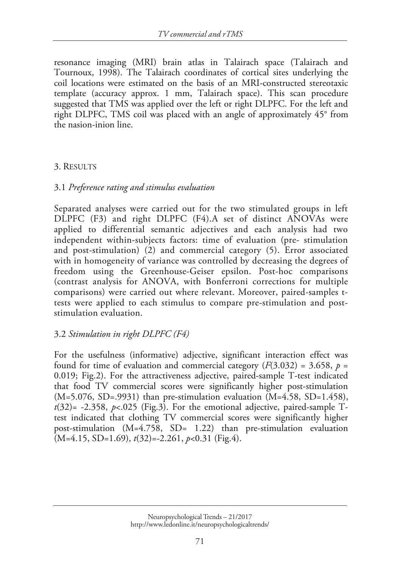resonance imaging (MRI) brain atlas in Talairach space (Talairach and Tournoux, 1998). The Talairach coordinates of cortical sites underlying the coil locations were estimated on the basis of an MRI-constructed stereotaxic template (accuracy approx. 1 mm, Talairach space). This scan procedure suggested that TMS was applied over the left or right DLPFC. For the left and right DLPFC, TMS coil was placed with an angle of approximately 45° from the nasion-inion line.

# 3. RESULTS

# 3.1 *Preference rating and stimulus evaluation*

Separated analyses were carried out for the two stimulated groups in left DLPFC (F3) and right DLPFC (F4).A set of distinct ANOVAs were applied to differential semantic adjectives and each analysis had two independent within-subjects factors: time of evaluation (pre- stimulation and post-stimulation) (2) and commercial category (5). Error associated with in homogeneity of variance was controlled by decreasing the degrees of freedom using the Greenhouse-Geiser epsilon. Post-hoc comparisons (contrast analysis for ANOVA, with Bonferroni corrections for multiple comparisons) were carried out where relevant. Moreover, paired-samples ttests were applied to each stimulus to compare pre-stimulation and poststimulation evaluation.

# 3.2 *Stimulation in right DLPFC (F4)*

For the usefulness (informative) adjective, significant interaction effect was found for time of evaluation and commercial category  $(F(3.032) = 3.658, p =$ 0.019; Fig.2). For the attractiveness adjective, paired-sample T-test indicated that food TV commercial scores were significantly higher post-stimulation  $(M=5.076, SD=0.9931)$  than pre-stimulation evaluation  $(M=4.58, SD=1.458)$ ,  $t(32)$ = -2.358,  $p$ < 025 (Fig.3). For the emotional adjective, paired-sample Ttest indicated that clothing TV commercial scores were significantly higher post-stimulation (M=4.758, SD= 1.22) than pre-stimulation evaluation (M=4.15, SD=1.69), *t*(32)=-2.261, *p*<0.31 (Fig.4).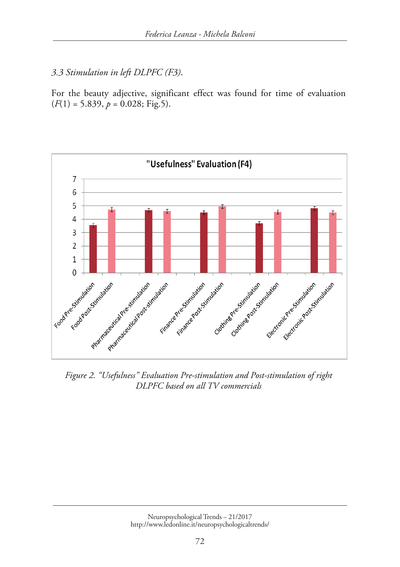*3.3 Stimulation in left DLPFC (F3)*.

For the beauty adjective, significant effect was found for time of evaluation  $(F(1) = 5.839, p = 0.028; Fig.5).$ 



*Figure 2. "Usefulness" Evaluation Pre-stimulation and Post-stimulation of right DLPFC based on all TV commercials*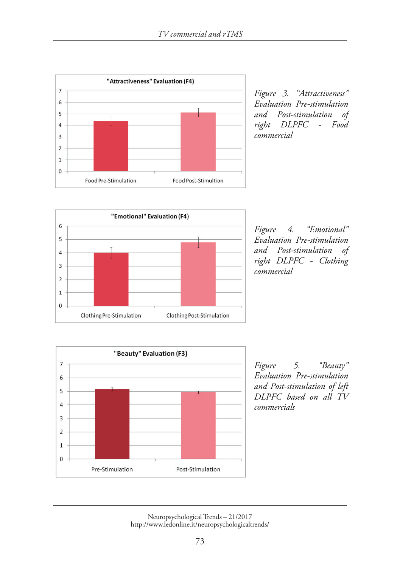

*Figure 3. "Attractiveness" Evaluation Pre-stimulation and Post-stimulation of right DLPFC - Food commercial* 



*Figure 4. "Emotional" Evaluation Pre-stimulation and Post-stimulation of right DLPFC - Clothing commercial*



*Figure 5. "Beauty" Evaluation Pre-stimulation and Post-stimulation of left DLPFC based on all TV commercials*

Neuropsychological Trends – 21/2017 http://www.ledonline.it/neuropsychologicaltrends/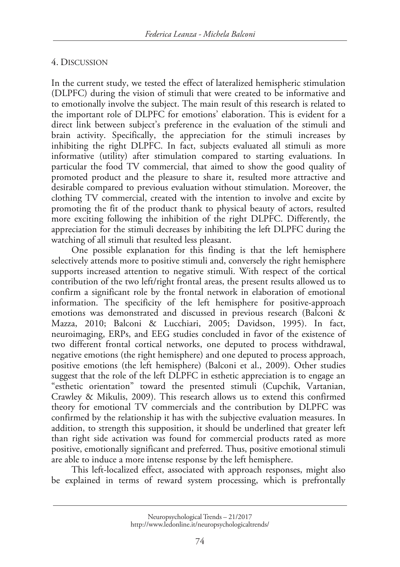#### 4. DISCUSSION

In the current study, we tested the effect of lateralized hemispheric stimulation (DLPFC) during the vision of stimuli that were created to be informative and to emotionally involve the subject. The main result of this research is related to the important role of DLPFC for emotions' elaboration. This is evident for a direct link between subject's preference in the evaluation of the stimuli and brain activity. Specifically, the appreciation for the stimuli increases by inhibiting the right DLPFC. In fact, subjects evaluated all stimuli as more informative (utility) after stimulation compared to starting evaluations. In particular the food TV commercial, that aimed to show the good quality of promoted product and the pleasure to share it, resulted more attractive and desirable compared to previous evaluation without stimulation. Moreover, the clothing TV commercial, created with the intention to involve and excite by promoting the fit of the product thank to physical beauty of actors, resulted more exciting following the inhibition of the right DLPFC. Differently, the appreciation for the stimuli decreases by inhibiting the left DLPFC during the watching of all stimuli that resulted less pleasant.

One possible explanation for this finding is that the left hemisphere selectively attends more to positive stimuli and, conversely the right hemisphere supports increased attention to negative stimuli. With respect of the cortical contribution of the two left/right frontal areas, the present results allowed us to confirm a significant role by the frontal network in elaboration of emotional information. The specificity of the left hemisphere for positive-approach emotions was demonstrated and discussed in previous research (Balconi & Mazza, 2010; Balconi & Lucchiari, 2005; Davidson, 1995). In fact, neuroimaging, ERPs, and EEG studies concluded in favor of the existence of two different frontal cortical networks, one deputed to process withdrawal, negative emotions (the right hemisphere) and one deputed to process approach, positive emotions (the left hemisphere) (Balconi et al., 2009). Other studies suggest that the role of the left DLPFC in esthetic appreciation is to engage an "esthetic orientation" toward the presented stimuli (Cupchik, Vartanian, Crawley & Mikulis, 2009). This research allows us to extend this confirmed theory for emotional TV commercials and the contribution by DLPFC was confirmed by the relationship it has with the subjective evaluation measures. In addition, to strength this supposition, it should be underlined that greater left than right side activation was found for commercial products rated as more positive, emotionally significant and preferred. Thus, positive emotional stimuli are able to induce a more intense response by the left hemisphere.

This left-localized effect, associated with approach responses, might also be explained in terms of reward system processing, which is prefrontally

Neuropsychological Trends – 21/2017 http://www.ledonline.it/neuropsychologicaltrends/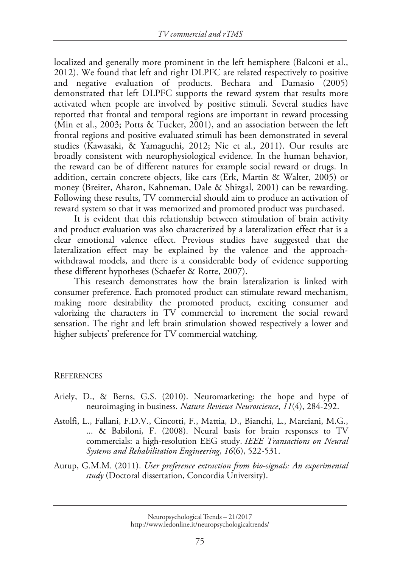localized and generally more prominent in the left hemisphere (Balconi et al., 2012). We found that left and right DLPFC are related respectively to positive and negative evaluation of products. Bechara and Damasio (2005) demonstrated that left DLPFC supports the reward system that results more activated when people are involved by positive stimuli. Several studies have reported that frontal and temporal regions are important in reward processing (Min et al., 2003; Potts & Tucker, 2001), and an association between the left frontal regions and positive evaluated stimuli has been demonstrated in several studies (Kawasaki, & Yamaguchi, 2012; Nie et al., 2011). Our results are broadly consistent with neurophysiological evidence. In the human behavior, the reward can be of different natures for example social reward or drugs. In addition, certain concrete objects, like cars (Erk, Martin & Walter, 2005) or money (Breiter, Aharon, Kahneman, Dale & Shizgal, 2001) can be rewarding. Following these results, TV commercial should aim to produce an activation of reward system so that it was memorized and promoted product was purchased.

It is evident that this relationship between stimulation of brain activity and product evaluation was also characterized by a lateralization effect that is a clear emotional valence effect. Previous studies have suggested that the lateralization effect may be explained by the valence and the approachwithdrawal models, and there is a considerable body of evidence supporting these different hypotheses (Schaefer & Rotte, 2007).

This research demonstrates how the brain lateralization is linked with consumer preference. Each promoted product can stimulate reward mechanism, making more desirability the promoted product, exciting consumer and valorizing the characters in TV commercial to increment the social reward sensation. The right and left brain stimulation showed respectively a lower and higher subjects' preference for TV commercial watching.

#### **REFERENCES**

- Ariely, D., & Berns, G.S. (2010). Neuromarketing: the hope and hype of neuroimaging in business. *Nature Reviews Neuroscience*, *11*(4), 284-292.
- Astolfi, L., Fallani, F.D.V., Cincotti, F., Mattia, D., Bianchi, L., Marciani, M.G., ... & Babiloni, F. (2008). Neural basis for brain responses to TV commercials: a high-resolution EEG study. *IEEE Transactions on Neural Systems and Rehabilitation Engineering*, *16*(6), 522-531.
- Aurup, G.M.M. (2011). *User preference extraction from bio-signals: An experimental study* (Doctoral dissertation, Concordia University).

Neuropsychological Trends – 21/2017 http://www.ledonline.it/neuropsychologicaltrends/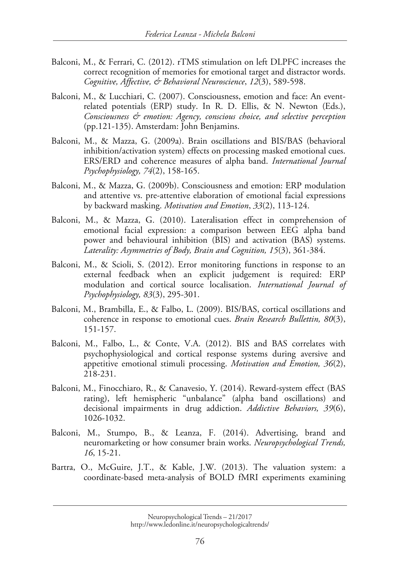- Balconi, M., & Ferrari, C. (2012). rTMS stimulation on left DLPFC increases the correct recognition of memories for emotional target and distractor words. *Cognitive, Affective, & Behavioral Neuroscience*, *12*(3), 589-598.
- Balconi, M., & Lucchiari, C. (2007). Consciousness, emotion and face: An eventrelated potentials (ERP) study. In R. D. Ellis, & N. Newton (Eds.), *Consciousness & emotion: Agency, conscious choice, and selective perception* (pp.121-135). Amsterdam: John Benjamins.
- Balconi, M., & Mazza, G. (2009a). Brain oscillations and BIS/BAS (behavioral inhibition/activation system) effects on processing masked emotional cues. ERS/ERD and coherence measures of alpha band. *International Journal Psychophysiology, 74*(2), 158-165.
- Balconi, M., & Mazza, G. (2009b). Consciousness and emotion: ERP modulation and attentive vs. pre-attentive elaboration of emotional facial expressions by backward masking. *Motivation and Emotion*, *33*(2), 113-124.
- Balconi, M., & Mazza, G. (2010). Lateralisation effect in comprehension of emotional facial expression: a comparison between EEG alpha band power and behavioural inhibition (BIS) and activation (BAS) systems. *Laterality: Asymmetries of Body, Brain and Cognition, 15*(3), 361-384.
- Balconi, M., & Scioli, S. (2012). Error monitoring functions in response to an external feedback when an explicit judgement is required: ERP modulation and cortical source localisation. *International Journal of Psychophysiology, 83*(3), 295-301.
- Balconi, M., Brambilla, E., & Falbo, L. (2009). BIS/BAS, cortical oscillations and coherence in response to emotional cues. *Brain Research Bullettin, 80*(3), 151-157.
- Balconi, M., Falbo, L., & Conte, V.A. (2012). BIS and BAS correlates with psychophysiological and cortical response systems during aversive and appetitive emotional stimuli processing. *Motivation and Emotion, 36*(2), 218-231.
- Balconi, M., Finocchiaro, R., & Canavesio, Y. (2014). Reward-system effect (BAS rating), left hemispheric "unbalance" (alpha band oscillations) and decisional impairments in drug addiction. *Addictive Behaviors, 39*(6), 1026-1032.
- Balconi, M., Stumpo, B., & Leanza, F. (2014). Advertising, brand and neuromarketing or how consumer brain works. *Neuropsychological Trends, 16*, 15-21.
- Bartra, O., McGuire, J.T., & Kable, J.W. (2013). The valuation system: a coordinate-based meta-analysis of BOLD fMRI experiments examining

Neuropsychological Trends – 21/2017 http://www.ledonline.it/neuropsychologicaltrends/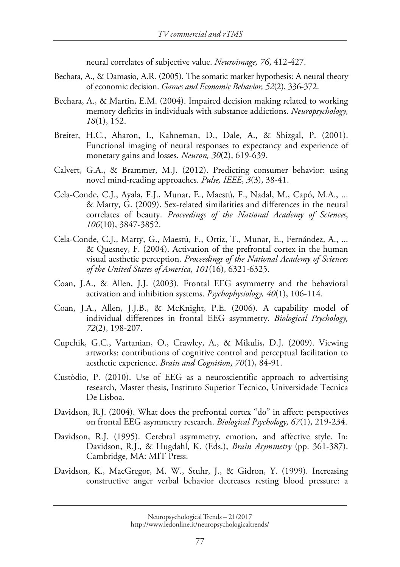neural correlates of subjective value. *Neuroimage, 76*, 412-427.

- Bechara, A., & Damasio, A.R. (2005). The somatic marker hypothesis: A neural theory of economic decision. *Games and Economic Behavior, 52*(2), 336-372.
- Bechara, A., & Martin, E.M. (2004). Impaired decision making related to working memory deficits in individuals with substance addictions. *Neuropsychology, 18*(1), 152.
- Breiter, H.C., Aharon, I., Kahneman, D., Dale, A., & Shizgal, P. (2001). Functional imaging of neural responses to expectancy and experience of monetary gains and losses. *Neuron, 30*(2), 619-639.
- Calvert, G.A., & Brammer, M.J. (2012). Predicting consumer behavior: using novel mind-reading approaches. *Pulse, IEEE*, *3*(3), 38-41.
- Cela-Conde, C.J., Ayala, F.J., Munar, E., Maestú, F., Nadal, M., Capó, M.A., ... & Marty, G. (2009). Sex-related similarities and differences in the neural correlates of beauty. *Proceedings of the National Academy of Sciences*, *106*(10), 3847-3852.
- Cela-Conde, C.J., Marty, G., Maestú, F., Ortiz, T., Munar, E., Fernández, A., ... & Quesney, F. (2004). Activation of the prefrontal cortex in the human visual aesthetic perception. *Proceedings of the National Academy of Sciences of the United States of America, 101*(16), 6321-6325.
- Coan, J.A., & Allen, J.J. (2003). Frontal EEG asymmetry and the behavioral activation and inhibition systems. *Psychophysiology, 40*(1), 106-114.
- Coan, J.A., Allen, J.J.B., & McKnight, P.E. (2006). A capability model of individual differences in frontal EEG asymmetry. *Biological Psychology, 72*(2), 198-207.
- Cupchik, G.C., Vartanian, O., Crawley, A., & Mikulis, D.J. (2009). Viewing artworks: contributions of cognitive control and perceptual facilitation to aesthetic experience. *Brain and Cognition, 70*(1), 84-91.
- Custòdio, P. (2010). Use of EEG as a neuroscientific approach to advertising research, Master thesis, Instituto Superior Tecnico, Universidade Tecnica De Lisboa.
- Davidson, R.J. (2004). What does the prefrontal cortex "do" in affect: perspectives on frontal EEG asymmetry research. *Biological Psychology, 67*(1), 219-234.
- Davidson, R.J. (1995). Cerebral asymmetry, emotion, and affective style. In: Davidson, R.J., & Hugdahl, K. (Eds.), *Brain Asymmetry* (pp. 361-387). Cambridge, MA: MIT Press.
- Davidson, K., MacGregor, M. W., Stuhr, J., & Gidron, Y. (1999). Increasing constructive anger verbal behavior decreases resting blood pressure: a

Neuropsychological Trends – 21/2017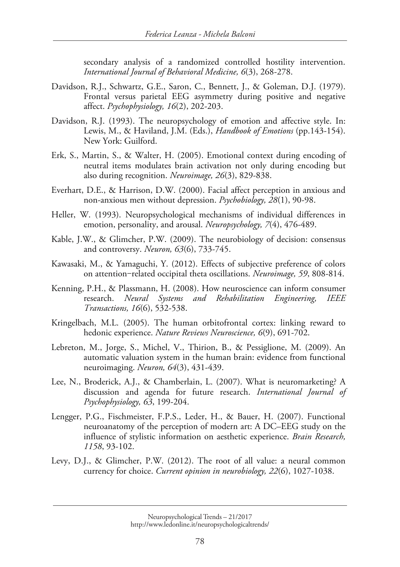secondary analysis of a randomized controlled hostility intervention. *International Journal of Behavioral Medicine, 6*(3), 268-278.

- Davidson, R.J., Schwartz, G.E., Saron, C., Bennett, J., & Goleman, D.J. (1979). Frontal versus parietal EEG asymmetry during positive and negative affect. *Psychophysiology, 16*(2), 202-203.
- Davidson, R.J. (1993). The neuropsychology of emotion and affective style. In: Lewis, M., & Haviland, J.M. (Eds.), *Handbook of Emotions* (pp.143-154). New York: Guilford.
- Erk, S., Martin, S., & Walter, H. (2005). Emotional context during encoding of neutral items modulates brain activation not only during encoding but also during recognition. *Neuroimage, 26*(3), 829-838.
- Everhart, D.E., & Harrison, D.W. (2000). Facial affect perception in anxious and non-anxious men without depression. *Psychobiology, 28*(1), 90-98.
- Heller, W. (1993). Neuropsychological mechanisms of individual differences in emotion, personality, and arousal. *Neuropsychology, 7*(4), 476-489.
- Kable, J.W., & Glimcher, P.W. (2009). The neurobiology of decision: consensus and controversy. *Neuron, 63*(6), 733-745.
- Kawasaki, M., & Yamaguchi, Y. (2012). Effects of subjective preference of colors on attention-related occipital theta oscillations. *Neuroimage*, 59, 808-814.
- Kenning, P.H., & Plassmann, H. (2008). How neuroscience can inform consumer research. *Neural Systems and Rehabilitation Engineering, IEEE Transactions, 16*(6), 532-538.
- Kringelbach, M.L. (2005). The human orbitofrontal cortex: linking reward to hedonic experience. *Nature Reviews Neuroscience, 6*(9), 691-702.
- Lebreton, M., Jorge, S., Michel, V., Thirion, B., & Pessiglione, M. (2009). An automatic valuation system in the human brain: evidence from functional neuroimaging. *Neuron, 64*(3), 431-439.
- Lee, N., Broderick, A.J., & Chamberlain, L. (2007). What is neuromarketing? A discussion and agenda for future research. *International Journal of Psychophysiology, 63*, 199-204.
- Lengger, P.G., Fischmeister, F.P.S., Leder, H., & Bauer, H. (2007). Functional neuroanatomy of the perception of modern art: A DC–EEG study on the influence of stylistic information on aesthetic experience. *Brain Research, 1158*, 93-102.
- Levy, D.J., & Glimcher, P.W. (2012). The root of all value: a neural common currency for choice. *Current opinion in neurobiology, 22*(6), 1027-1038.

Neuropsychological Trends – 21/2017 http://www.ledonline.it/neuropsychologicaltrends/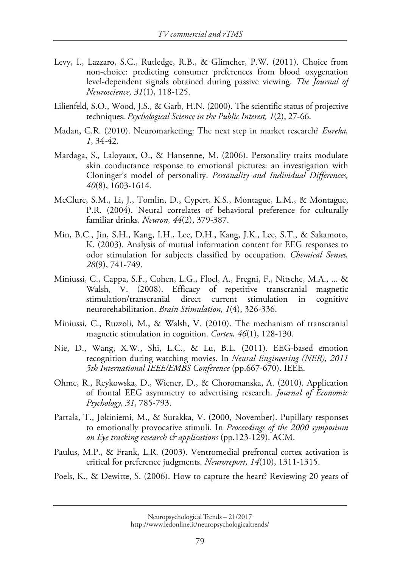- Levy, I., Lazzaro, S.C., Rutledge, R.B., & Glimcher, P.W. (2011). Choice from non-choice: predicting consumer preferences from blood oxygenation level-dependent signals obtained during passive viewing. *The Journal of Neuroscience, 31*(1), 118-125.
- Lilienfeld, S.O., Wood, J.S., & Garb, H.N. (2000). The scientific status of projective techniques. *Psychological Science in the Public Interest, 1*(2), 27-66.
- Madan, C.R. (2010). Neuromarketing: The next step in market research? *Eureka, 1*, 34-42.
- Mardaga, S., Laloyaux, O., & Hansenne, M. (2006). Personality traits modulate skin conductance response to emotional pictures: an investigation with Cloninger's model of personality. *Personality and Individual Differences, 40*(8), 1603-1614.
- McClure, S.M., Li, J., Tomlin, D., Cypert, K.S., Montague, L.M., & Montague, P.R. (2004). Neural correlates of behavioral preference for culturally familiar drinks. *Neuron, 44*(2), 379-387.
- Min, B.C., Jin, S.H., Kang, I.H., Lee, D.H., Kang, J.K., Lee, S.T., & Sakamoto, K. (2003). Analysis of mutual information content for EEG responses to odor stimulation for subjects classified by occupation. *Chemical Senses, 28*(9), 741-749.
- Miniussi, C., Cappa, S.F., Cohen, L.G., Floel, A., Fregni, F., Nitsche, M.A., ... & Walsh, V. (2008). Efficacy of repetitive transcranial magnetic stimulation/transcranial direct current stimulation in cognitive neurorehabilitation. *Brain Stimulation, 1*(4), 326-336.
- Miniussi, C., Ruzzoli, M., & Walsh, V. (2010). The mechanism of transcranial magnetic stimulation in cognition. *Cortex, 46*(1), 128-130.
- Nie, D., Wang, X.W., Shi, L.C., & Lu, B.L. (2011). EEG-based emotion recognition during watching movies. In *Neural Engineering (NER), 2011 5th International IEEE/EMBS Conference* (pp.667-670). IEEE.
- Ohme, R., Reykowska, D., Wiener, D., & Choromanska, A. (2010). Application of frontal EEG asymmetry to advertising research. *Journal of Economic Psychology, 31*, 785-793.
- Partala, T., Jokiniemi, M., & Surakka, V. (2000, November). Pupillary responses to emotionally provocative stimuli. In *Proceedings of the 2000 symposium on Eye tracking research & applications* (pp.123-129). ACM.
- Paulus, M.P., & Frank, L.R. (2003). Ventromedial prefrontal cortex activation is critical for preference judgments. *Neuroreport, 14*(10), 1311-1315.
- Poels, K., & Dewitte, S. (2006). How to capture the heart? Reviewing 20 years of

Neuropsychological Trends – 21/2017 http://www.ledonline.it/neuropsychologicaltrends/